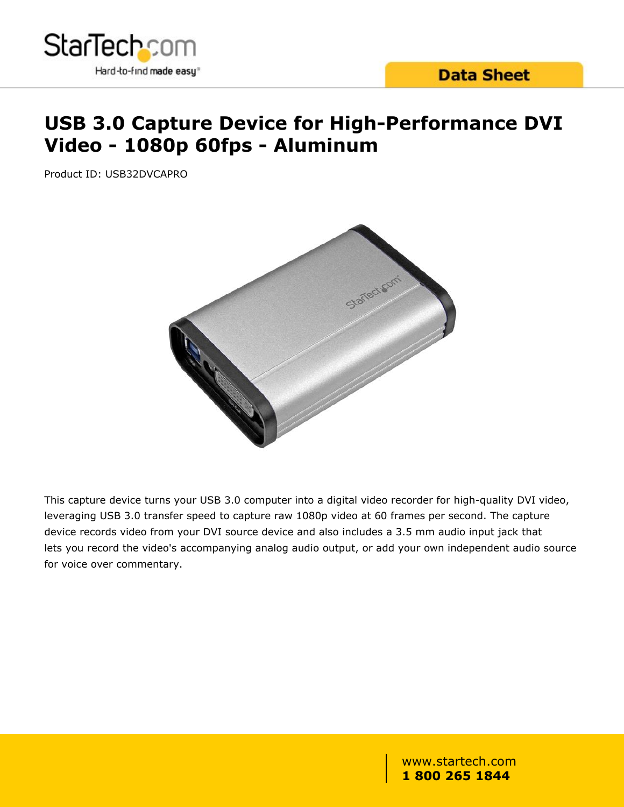

# **USB 3.0 Capture Device for High-Performance DVI Video - 1080p 60fps - Aluminum**

Product ID: USB32DVCAPRO



This capture device turns your USB 3.0 computer into a digital video recorder for high-quality DVI video, leveraging USB 3.0 transfer speed to capture raw 1080p video at 60 frames per second. The capture device records video from your DVI source device and also includes a 3.5 mm audio input jack that lets you record the video's accompanying analog audio output, or add your own independent audio source for voice over commentary.

> www.startech.com **1 800 265 1844**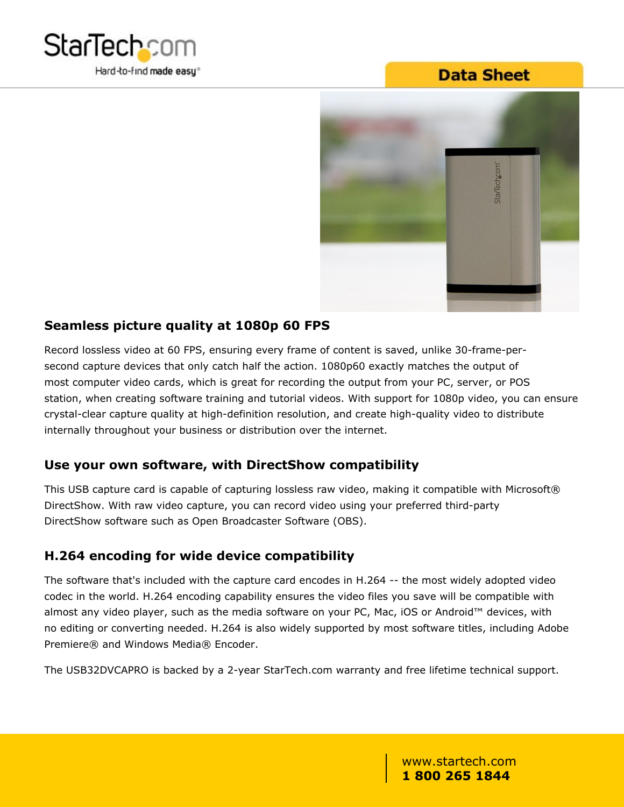

## **Data Sheet**



#### **Seamless picture quality at 1080p 60 FPS**

Record lossless video at 60 FPS, ensuring every frame of content is saved, unlike 30-frame-persecond capture devices that only catch half the action. 1080p60 exactly matches the output of most computer video cards, which is great for recording the output from your PC, server, or POS station, when creating software training and tutorial videos. With support for 1080p video, you can ensure crystal-clear capture quality at high-definition resolution, and create high-quality video to distribute internally throughout your business or distribution over the internet.

### **Use your own software, with DirectShow compatibility**

This USB capture card is capable of capturing lossless raw video, making it compatible with Microsoft® DirectShow. With raw video capture, you can record video using your preferred third-party DirectShow software such as Open Broadcaster Software (OBS).

### **H.264 encoding for wide device compatibility**

The software that's included with the capture card encodes in H.264 -- the most widely adopted video codec in the world. H.264 encoding capability ensures the video files you save will be compatible with almost any video player, such as the media software on your PC, Mac, iOS or Android™ devices, with no editing or converting needed. H.264 is also widely supported by most software titles, including Adobe Premiere® and Windows Media® Encoder.

The USB32DVCAPRO is backed by a 2-year StarTech.com warranty and free lifetime technical support.

www.startech.com **1 800 265 1844**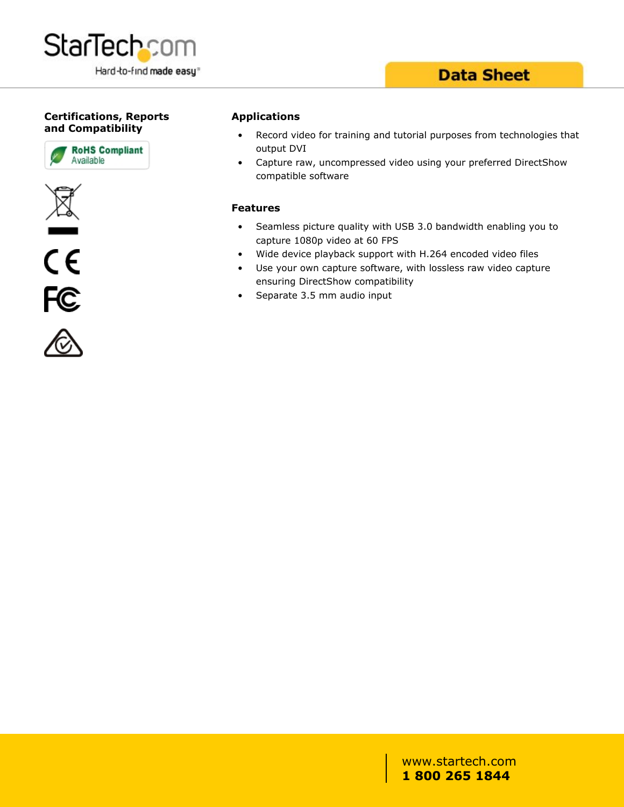

## **Data Sheet**

#### **Certifications, Reports and Compatibility**









#### **Applications**

- Record video for training and tutorial purposes from technologies that output DVI
- Capture raw, uncompressed video using your preferred DirectShow compatible software

#### **Features**

- Seamless picture quality with USB 3.0 bandwidth enabling you to capture 1080p video at 60 FPS
- Wide device playback support with H.264 encoded video files
- Use your own capture software, with lossless raw video capture ensuring DirectShow compatibility
- Separate 3.5 mm audio input